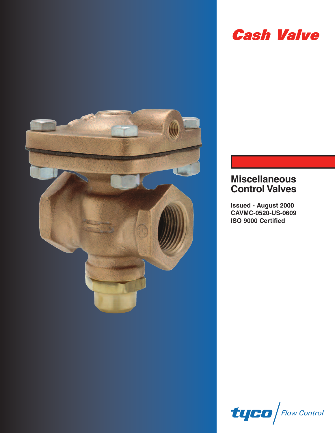

# **Cash Valve**

## **Miscellaneous Control Valves**

**Issued - August 2000 CAVMC-0520-US-0609 ISO 9000 Certified**

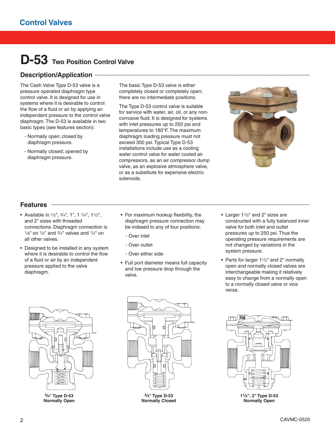# **D-53 Two Position Control Valve**

### Description/Application

The Cash Valve Type D-53 valve is a pressure operated diaphragm type control valve. It is designed for use in systems where it is desirable to control the flow of a fluid or air by applying an independent pressure to the control valve diaphragm. The D-53 is available in two basic types (see features section):

- Normally open; closed by diaphragm pressure.
- Normally closed; opened by diaphragm pressure.

The basic Type D-53 valve is either completely closed or completely open; there are no intermediate positions.

The Type D-53 control valve is suitable for service with water, air, oil, or any noncorrosive fluid. It is designed for systems with inlet pressures up to 250 psi and temperatures to 180°F. The maximum diaphragm loading pressure must not exceed 300 psi. Typical Type D-53 installations include use as a cooling water control valve for water cooled air compressors, as an air compressor dump valve, as an explosive atmosphere valve, or as a substitute for expensive electric solenoids.



## **Features \_\_\_\_\_\_\_\_\_\_\_\_\_\_\_\_\_\_\_\_\_\_\_\_\_\_\_\_\_\_\_\_\_\_\_\_\_\_\_\_\_\_\_\_\_\_\_\_\_\_\_\_\_\_\_\_\_\_\_\_\_\_\_\_\_\_\_\_\_\_\_\_**

- Available in 1/2", 3/4", 1", 1 1/4", 11/2", and 2" sizes with threaded connections. Diaphragm connection is  $1/8$ " on  $1/2$ " and  $3/4$ " valves and  $1/4$ " on all other valves.
- Designed to be installed in any system where it is desirable to control the flow of a fluid or air by an independent pressure applied to the valve diaphragm.
- For maximum hookup flexibility, the diaphragm pressure connection may be indexed to any of four positions:
	- Over inlet
	- Over outlet
	- Over either side
- Full port diameter means full capacity and low pressure drop through the valve.
- Larger 11/2" and 2" sizes are constructed with a fully balanced inner valve for both inlet and outlet pressures up to 250 psi. Thus the operating pressure requirements are not changed by variations in the system pressure.
- Parts for larger 11/2" and 2" normally open and normally closed valves are interchangeable making it relatively easy to change from a normally open to a normally closed valve or vice versa.



**3/4" Type D-53 Normally Open**



**3/4" Type D-53 Normally Closed**



**11/2", 2" Type D-53 Normally Open**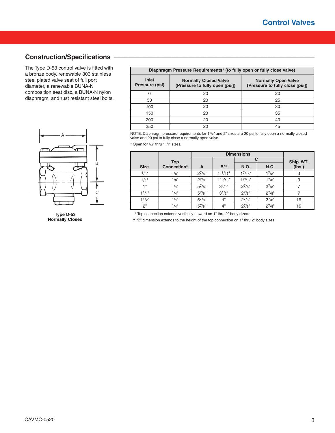### **Construction/Specifications \_\_\_\_\_\_\_\_\_\_\_\_\_\_\_\_\_\_\_\_\_\_\_\_\_\_\_\_\_\_\_\_\_\_\_\_\_\_\_\_\_\_\_\_\_\_\_\_\_\_\_\_\_\_\_\_**

The Type D-53 control valve is fitted with a bronze body, renewable 303 stainless steel plated valve seat of full port diameter, a renewable BUNA-N composition seat disc, a BUNA-N nylon diaphragm, and rust resistant steel bolts.



**Type D-53 Normally Closed**

| Diaphragm Pressure Requirements* (to fully open or fully close valve) |                                                                |                                                               |  |  |  |  |
|-----------------------------------------------------------------------|----------------------------------------------------------------|---------------------------------------------------------------|--|--|--|--|
| Inlet<br>Pressure (psi)                                               | <b>Normally Closed Valve</b><br>(Pressure to fully open [psi]) | <b>Normally Open Valve</b><br>(Pressure to fully close [psi]) |  |  |  |  |
| 0                                                                     | 20                                                             | 20                                                            |  |  |  |  |
| 50                                                                    | 20                                                             | 25                                                            |  |  |  |  |
| 100                                                                   | 20                                                             | 30                                                            |  |  |  |  |
| 150                                                                   | 20                                                             | 35                                                            |  |  |  |  |
| 200                                                                   | 20                                                             | 40                                                            |  |  |  |  |
| 250                                                                   | 20                                                             | 45                                                            |  |  |  |  |

NOTE: Diaphragm pressure requirements for 11/2" and 2" sizes are 20 psi to fully open a normally closed valve and 20 psi to fully close a normally open valve.

 $*$  Open for  $1/2$ " thru  $11/4$ " sizes.

|                                 |             | <b>Dimensions</b> |             |              |            |        |
|---------------------------------|-------------|-------------------|-------------|--------------|------------|--------|
|                                 | <b>Top</b>  |                   |             |              | Ship. WT.  |        |
| <b>Size</b>                     | Connection* | A                 | $B**$       | N.O.         | N.C.       | (lbs.) |
| 1/2"                            | 1/8"        | $2^{7}/8"$        | $1^{15/16"$ | $1^{7}/16$ " | 17/8"      | 3      |
| 3/4"                            | 1/g''       | $2^{7}/8"$        | 115/16"     | $1^{7}/16$ " | 17/8"      | 3      |
| 1"                              | 1/4"        | $5^{7}/8"$        | $3^{1/2}$   | $2^{7}/8"$   | $2^{7}/8"$ |        |
| 1 <sup>1</sup> /4 <sup>''</sup> | 1/4"        | $5^{7}/8"$        | $3^{1/2}$ " | $2^{7}/8"$   | $2^{7}/8"$ |        |
| 1 <sup>1</sup> /2 <sup>''</sup> | 1/4"        | $5^{7}/8"$        | 4"          | $2^{7}/8"$   | $2^{7}/8"$ | 19     |
| 2"                              | 1/4"        | $5^{7}/8"$        | 4"          | $2^{7}/8"$   | $2^{7}/8"$ | 19     |

**\*** Top connection extends vertically upward on 1" thru 2" body sizes.

**\*\*** "B" dimension extends to the height of the top connection on 1" thru 2" body sizes.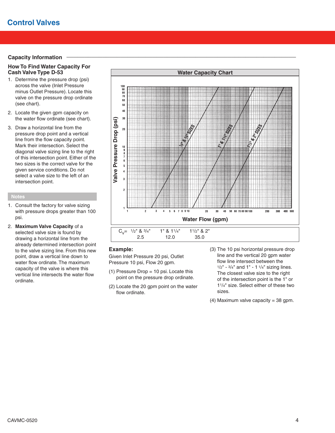#### **Capacity Information**

#### **How To Find Water Capacity For Cash Valve Type D-53**

- 1. Determine the pressure drop (psi) across the valve (Inlet Pressure minus Outlet Pressure). Locate this valve on the pressure drop ordinate (see chart).
- 2. Locate the given gpm capacity on the water flow ordinate (see chart).
- 3. Draw a horizontal line from the pressure drop point and a vertical line from the flow capacity point. Mark their intersection. Select the diagonal valve sizing line to the right of this intersection point. Either of the two sizes is the correct valve for the given service conditions. Do not select a valve size to the left of an intersection point.

#### **Notes**

- 1. Consult the factory for valve sizing with pressure drops greater than 100 psi.
- 2. **Maximum Valve Capacity** of a selected valve size is found by drawing a horizontal line from the already determined intersection point to the valve sizing line. From this new point, draw a vertical line down to water flow ordinate. The maximum capacity of the valve is where this vertical line intersects the water flow ordinate.



#### **Example:**

Given Inlet Pressure 20 psi, Outlet Pressure 10 psi, Flow 20 gpm.

- $(1)$  Pressure Drop = 10 psi. Locate this point on the pressure drop ordinate.
- (2) Locate the 20 gpm point on the water flow ordinate.
- (3) The 10 psi horizontal pressure drop line and the vertical 20 gpm water flow line intersect between the  $1/2$ " -  $3/4$ " and 1" - 1 $1/4$ " sizing lines. The closest valve size to the right of the intersection point is the 1" or 11/4" size. Select either of these two sizes.
- (4) Maximum valve capacity =  $38$  gpm.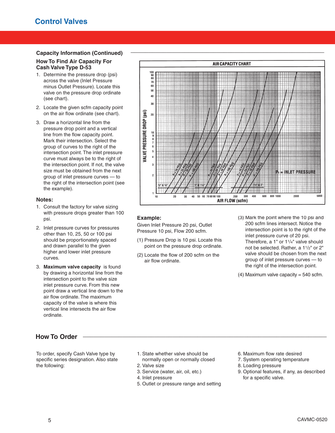#### **Capacity Information (Continued) \_\_\_\_\_\_\_\_\_\_\_\_\_\_\_\_\_\_\_\_\_\_\_\_\_\_\_\_\_\_\_\_\_\_\_\_\_\_\_\_\_\_\_\_\_\_\_\_\_\_\_\_\_\_**

#### **How To Find Air Capacity For Cash Valve Type D-53**

- 1. Determine the pressure drop (psi) across the valve (Inlet Pressure minus Outlet Pressure). Locate this valve on the pressure drop ordinate (see chart).
- 2. Locate the given scfm capacity point on the air flow ordinate (see chart).
- 3. Draw a horizontal line from the pressure drop point and a vertical line from the flow capacity point. Mark their intersection. Select the group of curves to the right of the intersection point. The inlet pressure curve must always be to the right of the intersection point. If not, the valve size must be obtained from the next group of inlet pressure curves — to the right of the intersection point (see the example).

#### **Notes:**

- 1. Consult the factory for valve sizing with pressure drops greater than 100 psi.
- 2. Inlet pressure curves for pressures other than 10, 25, 50 or 100 psi should be proportionately spaced and drawn parallel to the given higher and lower inlet pressure curves.
- 3. **Maximum valve capacity** is found by drawing a horizontal line from the intersection point to the valve size inlet pressure curve. From this new point draw a vertical line down to the air flow ordinate. The maximum capacity of the valve is where this vertical line intersects the air flow ordinate.

## **How To Order \_\_\_\_\_\_\_\_\_\_\_\_\_\_\_\_\_\_\_\_\_\_\_\_\_\_\_\_\_\_\_\_\_\_\_\_\_\_\_\_\_\_\_\_\_\_\_\_\_\_\_\_\_\_\_\_\_\_\_\_\_\_\_\_\_\_\_\_**

To order, specify Cash Valve type by specific series designation. Also state the following:

**AIR CAPACITY CHART** 100<br>90<br>80  $70$ 60 sn  $\overline{a}$  $30<sub>2</sub>$ **IALVE PRESSURE DROP (psi)**  $20$ 5  $\overline{\mathbf{4}}$ = INLET PRESSURE 40 50 60 70 80 90 10 300 400 **GOO** 800 1000  $2000$ 5000 AIR FLOW (scfm)

#### **Example:**

Given Inlet Pressure 20 psi, Outlet Pressure 10 psi, Flow 200 scfm.

- (1) Pressure Drop is 10 psi. Locate this point on the pressure drop ordinate.
- (2) Locate the flow of 200 scfm on the air flow ordinate.
- (3) Mark the point where the 10 psi and 200 scfm lines intersect. Notice the intersection point is to the right of the inlet pressure curve of 20 psi. Therefore, a 1" or 11/4" valve should not be selected. Rather, a 11/2" or 2" valve should be chosen from the next group of inlet pressure curves — to the right of the intersection point.
- $(4)$  Maximum valve capacity = 540 scfm.

- 1. State whether valve should be normally open or normally closed
- 2. Valve size
- 3. Service (water, air, oil, etc.)
- 4. Inlet pressure
- 5. Outlet or pressure range and setting
- 6. Maximum flow rate desired
- 7. System operating temperature
- 8. Loading pressure
- 9. Optional features, if any, as described for a specific valve.